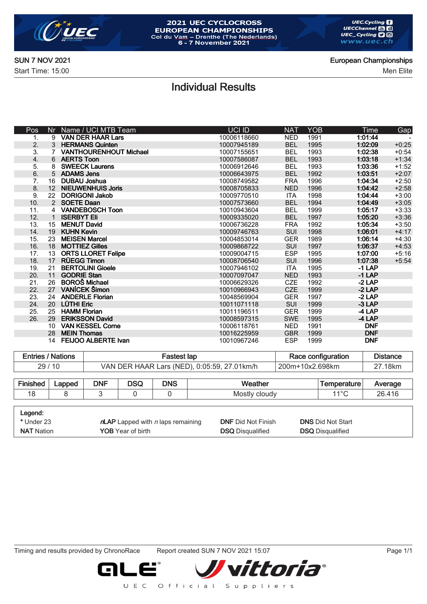

#### 2021 UEC CYCLOCROSS **EUROPEAN CHAMPIONSHIPS** Collection Change (The Nederlands)<br>6 - 7 November 2021

Individual Results

SUN 7 NOV 2021 European Championships

Start Time: 15:00 Men Elite

| Pos | Nr               | Name / UCI MTB Team           | UCI ID      | <b>NAT</b> | <b>YOB</b> | Time       | Gap     |
|-----|------------------|-------------------------------|-------------|------------|------------|------------|---------|
| 1.  |                  | 9 VAN DER HAAR Lars           | 10006118660 | <b>NED</b> | 1991       | 1:01:44    |         |
| 2.  |                  | 3 HERMANS Quinten             | 10007945189 | <b>BEL</b> | 1995       | 1:02:09    | $+0:25$ |
| 3.  |                  | <b>VANTHOURENHOUT Michael</b> | 10007155651 | <b>BEL</b> | 1993       | 1:02:38    | $+0:54$ |
| 4.  |                  | 6 AERTS Toon                  | 10007586087 | <b>BEL</b> | 1993       | 1:03:18    | $+1:34$ |
| 5.  |                  | <b>SWEECK Laurens</b>         | 10006912646 | <b>BEL</b> | 1993       | 1:03:36    | $+1:52$ |
| 6.  |                  | 5 ADAMS Jens                  | 10006643975 | <b>BEL</b> | 1992       | 1:03:51    | $+2:07$ |
| 7.  | 16               | <b>DUBAU Joshua</b>           | 10008749582 | <b>FRA</b> | 1996       | 1:04:34    | $+2:50$ |
| 8.  | 12 <sup>2</sup>  | <b>NIEUWENHUIS Joris</b>      | 10008705833 | <b>NED</b> | 1996       | 1:04:42    | $+2:58$ |
| 9.  | 22               | <b>DORIGONI Jakob</b>         | 10009770510 | <b>ITA</b> | 1998       | 1:04:44    | $+3:00$ |
| 10. |                  | 2 SOETE Daan                  | 10007573660 | <b>BEL</b> | 1994       | 1:04:49    | $+3:05$ |
| 11. |                  | 4 VANDEBOSCH Toon             | 10010943604 | <b>BEL</b> | 1999       | 1:05:17    | $+3:33$ |
| 12. |                  | <b>ISERBYT Eli</b>            | 10009335020 | <b>BEL</b> | 1997       | 1:05:20    | $+3:36$ |
| 13. | 15 <sup>15</sup> | <b>MENUT David</b>            | 10006736228 | <b>FRA</b> | 1992       | 1:05:34    | $+3:50$ |
| 14. | 19               | <b>KUHN Kevin</b>             | 10009746763 | <b>SUI</b> | 1998       | 1:06:01    | $+4:17$ |
| 15. | 23               | <b>MEISEN Marcel</b>          | 10004853014 | <b>GER</b> | 1989       | 1:06:14    | $+4:30$ |
| 16. | 18               | <b>MOTTIEZ Gilles</b>         | 10009868722 | SUI        | 1997       | 1:06:37    | $+4:53$ |
| 17. | 13 <sup>2</sup>  | <b>ORTS LLORET Felipe</b>     | 10009004715 | <b>ESP</b> | 1995       | 1:07:00    | $+5:16$ |
| 18. | 17               | <b>RÜEGG Timon</b>            | 10008706540 | SUI        | 1996       | 1:07:38    | $+5:54$ |
| 19. | 21               | <b>BERTOLINI Gioele</b>       | 10007946102 | <b>ITA</b> | 1995       | $-1$ LAP   |         |
| 20. | 11               | <b>GODRIE Stan</b>            | 10007097047 | <b>NED</b> | 1993       | $-1$ LAP   |         |
| 21. | 26               | <b>BOROŠ Michael</b>          | 10006629326 | <b>CZE</b> | 1992       | $-2$ LAP   |         |
| 22. | 27               | <b>VANÍCEK Šimon</b>          | 10010966943 | <b>CZE</b> | 1999       | $-2$ LAP   |         |
| 23. | 24               | <b>ANDERLE Florian</b>        | 10048569904 | <b>GER</b> | 1997       | $-2$ LAP   |         |
| 24. |                  | 20 LÜTHI Eric                 | 10011071118 | SUI        | 1999       | $-3$ LAP   |         |
| 25. | 25               | <b>HAMM Florian</b>           | 10011196511 | <b>GER</b> | 1999       | $-4$ LAP   |         |
| 26. | 29               | <b>ERIKSSON David</b>         | 10008597315 | <b>SWE</b> | 1995       | $-4$ LAP   |         |
|     | 10               | <b>VAN KESSEL Corne</b>       | 10006118761 | <b>NED</b> | 1991       | <b>DNF</b> |         |
|     | 28               | <b>MEIN Thomas</b>            | 10016225959 | <b>GBR</b> | 1999       | <b>DNF</b> |         |
|     | 14               | <b>FEIJOO ALBERTE Ivan</b>    | 10010967246 | <b>ESP</b> | 1999       | <b>DNF</b> |         |
|     |                  |                               |             |            |            |            |         |

|          | <b>Entries / Nations</b> |                                                                |            | <b>Fastest lap</b> | Race configuration | <b>Distance</b> |                    |         |
|----------|--------------------------|----------------------------------------------------------------|------------|--------------------|--------------------|-----------------|--------------------|---------|
|          | 29/10                    | VAN DER HAAR Lars (NED), 0:05:59, 27.01km/h<br>200m+10x2.698km |            |                    |                    |                 |                    | 27.18km |
|          |                          |                                                                |            |                    |                    |                 |                    |         |
| Finished | Lapped                   | <b>DNF</b>                                                     | <b>DSQ</b> | <b>DNS</b>         | Weather            |                 | <b>Temperature</b> | Average |
| 18       |                          |                                                                |            |                    | Mostly cloudy      |                 | 11 $^{\circ}$ C    | 26.416  |

| Legend:           |                                             |                           |                          |
|-------------------|---------------------------------------------|---------------------------|--------------------------|
| * Under 23        | $n$ LAP Lapped with <i>n</i> laps remaining | <b>DNF</b> Did Not Finish | <b>DNS Did Not Start</b> |
| <b>NAT</b> Nation | <b>YOB</b> Year of birth                    | <b>DSQ</b> Disqualified   | <b>DSQ</b> Disqualified  |

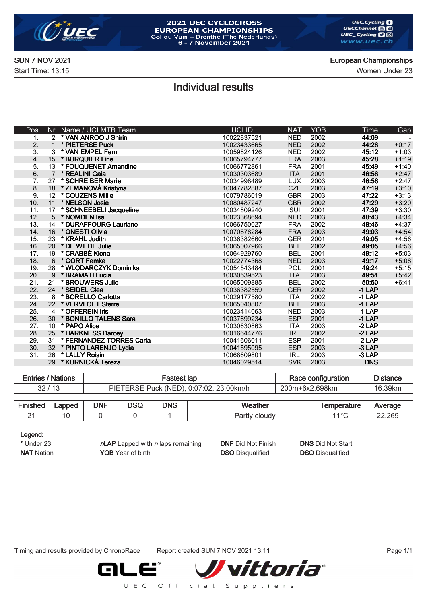

# 2021 UEC CYCLOCROSS **EUROPEAN CHAMPIONSHIPS**<br>Col du Vam – Drenthe (The Nederlands)<br>6 - 7 November 2021

Start Time: 13:15 Women Under 23

#### SUN 7 NOV 2021 European Championships

## Individual results

| Pos | Nr             | Name / UCI MTB Team      | <b>UCI ID</b> | <b>NAT</b> | <b>YOB</b> | <b>Time</b> | <b>Gap</b> |
|-----|----------------|--------------------------|---------------|------------|------------|-------------|------------|
| 1.  |                | 2 * VAN ANROOIJ Shirin   | 10022837521   | <b>NED</b> | 2002       | 44:09       |            |
| 2.  | $\mathbf{1}$   | * PIETERSE Puck          | 10023433665   | <b>NED</b> | 2002       | 44:26       | $+0:17$    |
| 3.  | 3              | * VAN EMPEL Fem          | 10059824126   | <b>NED</b> | 2002       | 45:12       | $+1:03$    |
| 4.  | 15             | * BURQUIER Line          | 10065794777   | <b>FRA</b> | 2003       | 45:28       | $+1:19$    |
| 5.  | 13             | * FOUQUENET Amandine     | 10066772861   | <b>FRA</b> | 2001       | 45:49       | $+1:40$    |
| 6.  | $\overline{7}$ | * REALINI Gaia           | 10030303689   | <b>ITA</b> | 2001       | 46:56       | $+2:47$    |
| 7.  | 27             | * SCHREIBER Marie        | 10034998489   | <b>LUX</b> | 2003       | 46:56       | $+2:47$    |
| 8.  | 18             | * ZEMANOVÁ Kristýna      | 10047782887   | <b>CZE</b> | 2003       | 47:19       | $+3:10$    |
| 9.  | 12             | * COUZENS Millie         | 10079786019   | <b>GBR</b> | 2003       | 47:22       | $+3:13$    |
| 10. | 11             | * NELSON Josie           | 10080487247   | <b>GBR</b> | 2002       | 47:29       | $+3:20$    |
| 11. | 17             | * SCHNEEBELI Jacqueline  | 10034809240   | SUI        | 2001       | 47:39       | $+3:30$    |
| 12. | 5              | * NOMDEN Isa             | 10023368694   | <b>NED</b> | 2003       | 48:43       | $+4:34$    |
| 13. | 14             | * DURAFFOURG Lauriane    | 10066750027   | <b>FRA</b> | 2002       | 48:46       | $+4:37$    |
| 14. | 16             | * ONESTI Olivia          | 10070878284   | <b>FRA</b> | 2003       | 49:03       | $+4:54$    |
| 15. | 23             | * KRAHL Judith           | 10036382660   | <b>GER</b> | 2001       | 49:05       | $+4:56$    |
| 16. | 20             | * DE WILDE Julie         | 10065007966   | <b>BEL</b> | 2002       | 49:05       | $+4:56$    |
| 17. | 19             | * CRABBÉ Kiona           | 10064929760   | <b>BEL</b> | 2001       | 49:12       | $+5:03$    |
| 18. | 6              | * GORT Femke             | 10022774368   | <b>NED</b> | 2003       | 49:17       | $+5:08$    |
| 19. | 28             | * WLODARCZYK Dominika    | 10054543484   | POL        | 2001       | 49:24       | $+5:15$    |
| 20. | 9              | * BRAMATI Lucia          | 10030539523   | <b>ITA</b> | 2003       | 49:51       | $+5:42$    |
| 21. | 21             | * BROUWERS Julie         | 10065009885   | <b>BEL</b> | 2002       | 50:50       | $+6:41$    |
| 22. | 24             | * SEIDEL Clea            | 10036382559   | <b>GER</b> | 2002       | $-1$ LAP    |            |
| 23. | 8              | * BORELLO Carlotta       | 10029177580   | <b>ITA</b> | 2002       | $-1$ LAP    |            |
| 24. | 22             | * VERVLOET Sterre        | 10065040807   | <b>BEL</b> | 2003       | $-1$ LAP    |            |
| 25. | 4              | * OFFEREIN Iris          | 10023414063   | <b>NED</b> | 2003       | $-1$ LAP    |            |
| 26. | 30             | * BONILLO TALENS Sara    | 10037699234   | <b>ESP</b> | 2001       | $-1$ LAP    |            |
| 27. | 10             | * PAPO Alice             | 10030630863   | <b>ITA</b> | 2003       | $-2$ LAP    |            |
| 28. | 25             | * HARKNESS Darcey        | 10016644776   | <b>IRL</b> | 2002       | $-2$ LAP    |            |
| 29. | 31             | * FERNANDEZ TORRES Carla | 10041606011   | <b>ESP</b> | 2001       | $-2$ LAP    |            |
| 30. | 32             | * PINTO LARENJO Lydia    | 10041595095   | <b>ESP</b> | 2003       | $-3$ LAP    |            |
| 31. | 26             | * LALLY Roisin           | 10068609801   | <b>IRL</b> | 2003       | -3 LAP      |            |
|     | 29             | * KURNICKÁ Tereza        | 10046029514   | <b>SVK</b> | 2003       | <b>DNS</b>  |            |
|     |                |                          |               |            |            |             |            |

| <b>Entries / Nations</b> | Fastest lap                             | Race configuration | <b>Distance</b> |  |
|--------------------------|-----------------------------------------|--------------------|-----------------|--|
| 32/13                    | PIETERSE Puck (NED), 0:07:02, 23.00km/h | 200m+6x2.698km     | 16.39km         |  |

| Cin.<br>тес        | Lapped | <b>DNF</b> | nec<br>טטע | <b>DNS</b> | .<br>eather<br><b>Wea</b> | `erature⊤<br>$\overline{\phantom{a}}$ | Average |
|--------------------|--------|------------|------------|------------|---------------------------|---------------------------------------|---------|
| $\sim$<br><u>_</u> |        |            |            |            | cloud\<br>aı u            | 110C                                  | 22.269  |

| Legend:           |                                             |                           |                          |
|-------------------|---------------------------------------------|---------------------------|--------------------------|
| * Under 23        | $n$ LAP Lapped with <i>n</i> laps remaining | <b>DNF</b> Did Not Finish | <b>DNS Did Not Start</b> |
| <b>NAT</b> Nation | <b>YOB</b> Year of birth                    | <b>DSQ</b> Disqualified   | <b>DSQ</b> Disqualified  |

Timing and results provided by ChronoRace Report created SUN 7 NOV 2021 13:11 Page 1/1

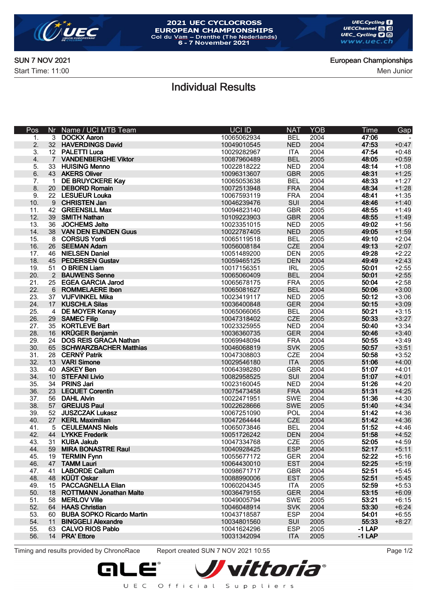

# 2021 UEC CYCLOCROSS **EUROPEAN CHAMPIONSHIPS**<br>Col du Vam – Drenthe (The Nederlands)<br>6 - 7 November 2021

SUN 7 NOV 2021 European Championships

Start Time: 11:00 Men Junior

## Individual Results

| Pos | Nr             | Name / UCI MTB Team            | <b>UCI ID</b> | <b>NAT</b> | <b>YOB</b> | Time     | Gap     |
|-----|----------------|--------------------------------|---------------|------------|------------|----------|---------|
| 1.  |                | 3 DOCKX Aaron                  | 10065062934   | <b>BEL</b> | 2004       | 47:06    |         |
| 2.  |                | 32 HAVERDINGS David            | 10049010545   | <b>NED</b> | 2004       | 47:53    | $+0:47$ |
| 3.  |                | 12 PALETTI Luca                | 10029282967   | <b>ITA</b> | 2004       | 47:54    | $+0:48$ |
| 4.  | $7^{\circ}$    | <b>VANDENBERGHE Viktor</b>     | 10087960489   | <b>BEL</b> | 2005       | 48:05    | $+0:59$ |
| 5.  | 33             | <b>HUISING Menno</b>           | 10022818222   | <b>NED</b> | 2004       | 48:14    | $+1:08$ |
| 6.  |                | 43 AKERS Oliver                | 10096313607   | <b>GBR</b> | 2005       | 48:31    | $+1:25$ |
| 7.  | $\mathbf{1}$   | DE BRUYCKERE Kay               | 10065053638   | <b>BEL</b> | 2004       | 48:33    | $+1:27$ |
| 8.  | 20             | <b>DEBORD Romain</b>           | 10072513948   | <b>FRA</b> | 2004       | 48:34    | $+1:28$ |
| 9.  |                | 22 LESUEUR Louka               | 10067593119   | <b>FRA</b> | 2004       | 48:41    | $+1:35$ |
| 10. |                | 9 CHRISTEN Jan                 | 10046239476   | SUI        | 2004       | 48:46    | $+1:40$ |
| 11. | 42             | <b>GREENSILL Max</b>           | 10094823140   | <b>GBR</b> | 2005       | 48:55    | $+1:49$ |
| 12. | 39             | <b>SMITH Nathan</b>            | 10109223903   | <b>GBR</b> | 2004       | 48:55    | $+1:49$ |
| 13. | 36             | <b>JOCHEMS Jelte</b>           | 10023351015   | <b>NED</b> | 2005       | 49:02    | $+1:56$ |
| 14. |                | 38 VAN DEN EIJNDEN Guus        | 10022787405   | <b>NED</b> | 2005       | 49:05    | $+1:59$ |
| 15. | 8              | <b>CORSUS Yordi</b>            | 10065119518   | <b>BEL</b> | 2005       | 49:10    | $+2:04$ |
| 16. |                | 26 SEEMAN Adam                 | 10056008184   | <b>CZE</b> | 2004       | 49:13    | $+2:07$ |
| 17. | 46             | <b>NIELSEN Daniel</b>          | 10051489200   | <b>DEN</b> | 2005       | 49:28    | $+2:22$ |
| 18. |                | 45 PEDERSEN Gustav             | 10059465125   | <b>DEN</b> | 2004       | 49:49    | $+2:43$ |
| 19. | 51             | <b>O BRIEN Liam</b>            | 10017156351   | <b>IRL</b> | 2005       | 50:01    | $+2:55$ |
| 20. |                | 2 BAUWENS Senne                | 10065060409   | <b>BEL</b> | 2004       | 50:01    | $+2:55$ |
| 21. | 25             | <b>EGEA GARCIA Jarod</b>       | 10065678175   | <b>FRA</b> | 2005       | 50:04    | $+2:58$ |
| 22. | 6              | <b>ROMMELAERE Iben</b>         | 10065081627   | <b>BEL</b> | 2004       | 50:06    | $+3:00$ |
| 23. |                | 37 VIJFVINKEL Mika             | 10023419117   | <b>NED</b> | 2005       | 50:12    | $+3:06$ |
| 24. | 17             | <b>KUSCHLA Silas</b>           | 10036400848   | <b>GER</b> | 2004       | 50:15    | $+3:09$ |
| 25. | $\overline{4}$ | <b>DE MOYER Kenay</b>          | 10065066065   | <b>BEL</b> | 2004       | 50:21    | $+3:15$ |
| 26. | 29             | <b>SAMEC Filip</b>             | 10047318402   | <b>CZE</b> | 2005       | 50:33    | $+3:27$ |
| 27. |                | 35 KORTLEVE Bart               | 10023325955   | <b>NED</b> | 2004       | 50:40    | $+3:34$ |
| 28. |                | 16 KRÜGER Benjamin             | 10036360735   | <b>GER</b> | 2004       | 50:46    | $+3:40$ |
| 29. |                | 24 DOS REIS GRACA Nathan       | 10069948094   | <b>FRA</b> | 2004       | 50:55    | $+3:49$ |
| 30. |                | 65 SCHWARZBACHER Matthias      | 10046068819   | <b>SVK</b> | 2005       | 50:57    | $+3:51$ |
| 31. |                | 28 CERNÝ Patrik                | 10047308803   | <b>CZE</b> | 2004       | 50:58    | $+3:52$ |
| 32. |                | 13 VARI Simone                 | 10029546180   | <b>ITA</b> | 2005       | 51:06    | $+4:00$ |
| 33. |                | 40 ASKEY Ben                   | 10064398280   | <b>GBR</b> | 2004       | 51:07    | $+4:01$ |
| 34. |                | 10 STEFANI Livio               | 10082958525   | SUI        | 2004       | 51:07    | $+4:01$ |
| 35. |                | 34 PRINS Jari                  | 10023160045   | <b>NED</b> | 2004       | 51:26    | $+4:20$ |
| 36. | 23             | <b>LEQUET Corentin</b>         | 10075473458   | <b>FRA</b> | 2004       | 51:31    | $+4:25$ |
| 37. |                | 56 DAHL Alvin                  | 10022471951   | <b>SWE</b> | 2004       | 51:36    | $+4:30$ |
| 38. |                | 57 GREIJUS Paul                | 10022628666   | <b>SWE</b> | 2005       | 51:40    | $+4:34$ |
| 39. | 52             | <b>JUSZCZAK Lukasz</b>         | 10067251090   | POL        | 2004       | 51:42    | $+4:36$ |
| 40. |                | 27 KERL Maximilian             | 10047264444   | <b>CZE</b> | 2004       | 51:42    | $+4:36$ |
| 41. | 5              | <b>CEULEMANS Niels</b>         | 10065073846   | <b>BEL</b> | 2004       | 51:52    | $+4:46$ |
| 42. | 44             | <b>LYKKE Frederik</b>          | 10051726242   | <b>DEN</b> | 2004       | 51:58    | $+4:52$ |
| 43. |                | 31 KUBA Jakub                  | 10047334768   | <b>CZE</b> | 2005       | 52:05    | $+4:59$ |
| 44. | 59             | <b>MIRA BONASTRE Raul</b>      | 10040928425   | <b>ESP</b> | 2004       | 52:17    | $+5:11$ |
| 45. | 19             | <b>TERMIN Fynn</b>             | 10055677172   | <b>GER</b> | 2004       | 52:22    | $+5:16$ |
| 46. | 47             | <b>TAMM Lauri</b>              | 10064430010   | <b>EST</b> | 2004       | 52:25    | $+5:19$ |
| 47. | 41             | <b>LABORDE Callum</b>          | 10098671717   | <b>GBR</b> | 2004       | 52:51    | $+5:45$ |
| 48. |                | 48 KÜÜT Oskar                  | 10088990006   | <b>EST</b> | 2005       | 52:51    | $+5:45$ |
| 49. | 15             | <b>PACCAGNELLA Elian</b>       | 10060204345   | <b>ITA</b> | 2005       | 52:59    | $+5:53$ |
| 50. | 18             | <b>ROTTMANN Jonathan Malte</b> | 10036479155   | <b>GER</b> | 2004       | 53:15    | $+6:09$ |
| 51. | 58             | <b>MERLOV Ville</b>            | 10049005794   | <b>SWE</b> | 2005       | 53:21    | $+6:15$ |
| 52. | 64             | <b>HAAS Christian</b>          | 10046048914   | <b>SVK</b> | 2004       | 53:30    | $+6:24$ |
| 53. |                | 60 BUBA SOPKO Ricardo Martin   | 10043718587   | <b>ESP</b> | 2004       | 54:01    | $+6:55$ |
| 54. | 11             | <b>BINGGELI Alexandre</b>      | 10034801560   | SUI        | 2005       | 55:33    | $+8:27$ |
| 55. | 63             | <b>CALVO RIOS Pablo</b>        | 10041624296   | <b>ESP</b> | 2005       | $-1$ LAP |         |
| 56. |                | 14 PRA' Ettore                 | 10031342094   | <b>ITA</b> | 2005       | $-1$ LAP |         |

Timing and results provided by ChronoRace Report created SUN 7 NOV 2021 10:55 Page 1/2